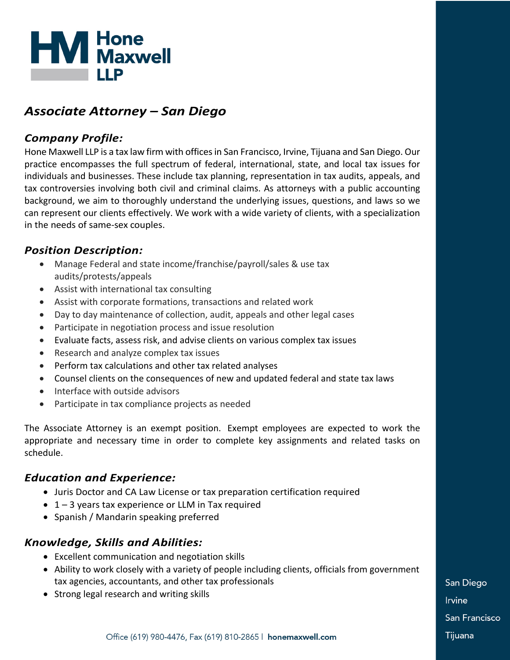

# *Associate Attorney – San Diego*

# *Company Profile:*

Hone Maxwell LLP is a tax law firm with offices in San Francisco, Irvine, Tijuana and San Diego. Our practice encompasses the full spectrum of federal, international, state, and local tax issues for individuals and businesses. These include tax planning, representation in tax audits, appeals, and tax controversies involving both civil and criminal claims. As attorneys with a public accounting background, we aim to thoroughly understand the underlying issues, questions, and laws so we can represent our clients effectively. We work with a wide variety of clients, with a specialization in the needs of same-sex couples.

# *Position Description:*

- Manage Federal and state income/franchise/payroll/sales & use tax audits/protests/appeals
- Assist with international tax consulting
- Assist with corporate formations, transactions and related work
- Day to day maintenance of collection, audit, appeals and other legal cases
- Participate in negotiation process and issue resolution
- Evaluate facts, assess risk, and advise clients on various complex tax issues
- Research and analyze complex tax issues
- Perform tax calculations and other tax related analyses
- Counsel clients on the consequences of new and updated federal and state tax laws
- Interface with outside advisors
- Participate in tax compliance projects as needed

The Associate Attorney is an exempt position. Exempt employees are expected to work the appropriate and necessary time in order to complete key assignments and related tasks on schedule.

# *Education and Experience:*

- Juris Doctor and CA Law License or tax preparation certification required
- $\bullet$  1 3 years tax experience or LLM in Tax required
- Spanish / Mandarin speaking preferred

# *Knowledge, Skills and Abilities:*

- Excellent communication and negotiation skills
- Ability to work closely with a variety of people including clients, officials from government tax agencies, accountants, and other tax professionals
- Strong legal research and writing skills

San Diego **Irvine** San Francisco Tijuana